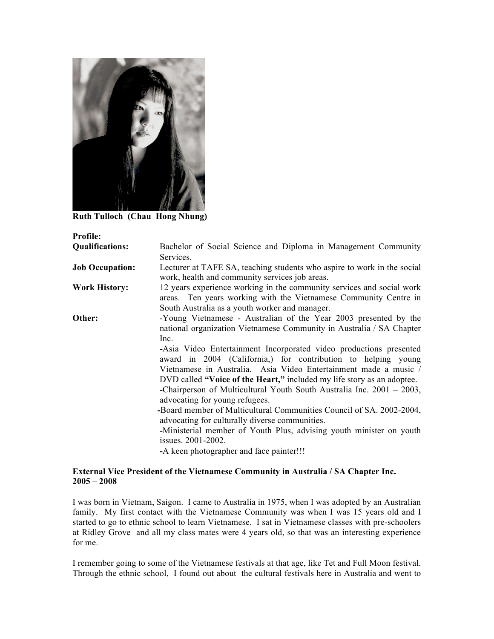

**Ruth Tulloch (Chau Hong Nhung)**

| <b>Profile:</b>        |                                                                                                                                                                                             |
|------------------------|---------------------------------------------------------------------------------------------------------------------------------------------------------------------------------------------|
| <b>Qualifications:</b> | Bachelor of Social Science and Diploma in Management Community                                                                                                                              |
|                        | Services.                                                                                                                                                                                   |
| <b>Job Occupation:</b> | Lecturer at TAFE SA, teaching students who aspire to work in the social<br>work, health and community services job areas.                                                                   |
| <b>Work History:</b>   | 12 years experience working in the community services and social work<br>areas. Ten years working with the Vietnamese Community Centre in<br>South Australia as a youth worker and manager. |
| Other:                 | -Young Vietnamese - Australian of the Year 2003 presented by the<br>national organization Vietnamese Community in Australia / SA Chapter<br>Inc.                                            |
|                        | -Asia Video Entertainment Incorporated video productions presented<br>award in 2004 (California,) for contribution to helping young                                                         |
|                        | Vietnamese in Australia. Asia Video Entertainment made a music /<br>DVD called "Voice of the Heart," included my life story as an adoptee.                                                  |
|                        | -Chairperson of Multicultural Youth South Australia Inc. $2001 - 2003$ ,<br>advocating for young refugees.                                                                                  |
|                        | -Board member of Multicultural Communities Council of SA. 2002-2004,<br>advocating for culturally diverse communities.                                                                      |
|                        | -Ministerial member of Youth Plus, advising youth minister on youth<br>issues. 2001-2002.                                                                                                   |
|                        | -A keen photographer and face painter!!!                                                                                                                                                    |

## **External Vice President of the Vietnamese Community in Australia / SA Chapter Inc. 2005 – 2008**

I was born in Vietnam, Saigon. I came to Australia in 1975, when I was adopted by an Australian family. My first contact with the Vietnamese Community was when I was 15 years old and I started to go to ethnic school to learn Vietnamese. I sat in Vietnamese classes with pre-schoolers at Ridley Grove and all my class mates were 4 years old, so that was an interesting experience for me.

I remember going to some of the Vietnamese festivals at that age, like Tet and Full Moon festival. Through the ethnic school, I found out about the cultural festivals here in Australia and went to